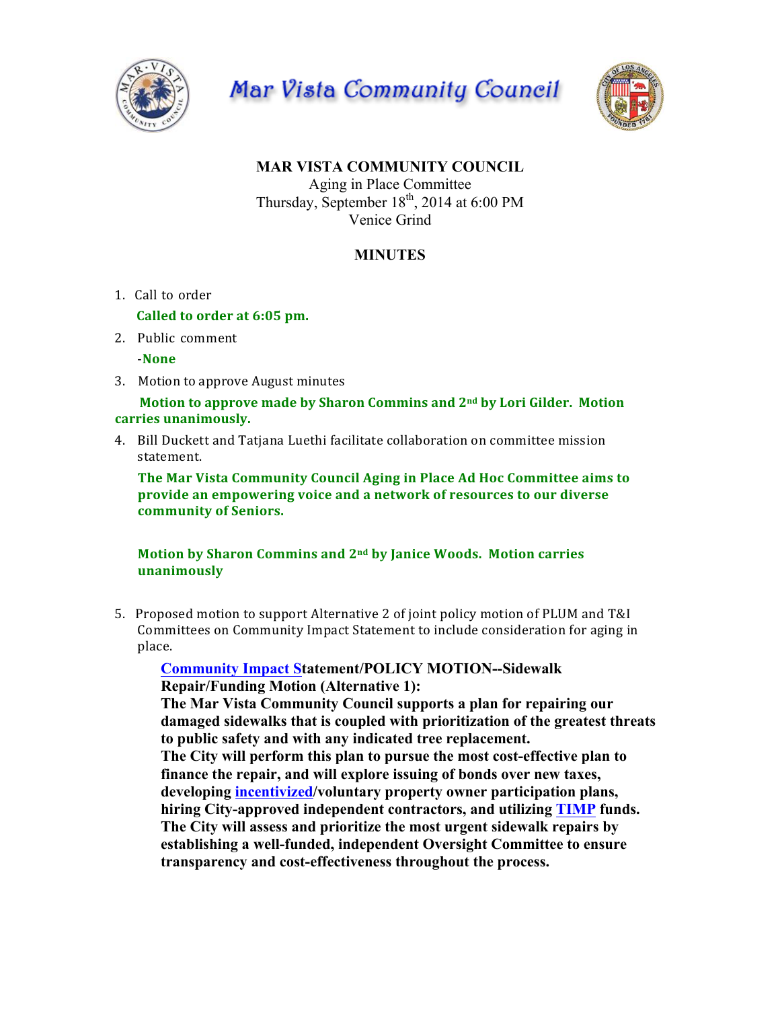

**Mar Vista Community Council** 



## **MAR VISTA COMMUNITY COUNCIL** Aging in Place Committee Thursday, September  $18<sup>th</sup>$ , 2014 at 6:00 PM

Venice Grind

## **MINUTES**

1. Call to order

**Called to order at 6:05 pm.** 

2. Public comment

-**None**

3. Motion to approve August minutes

## **Motion to approve made by Sharon Commins and**  $2^{nd}$  **by Lori Gilder. Motion** carries unanimously.

4. Bill Duckett and Tatjana Luethi facilitate collaboration on committee mission statement.

**The Mar Vista Community Council Aging in Place Ad Hoc Committee aims to provide an empowering voice and a network of resources to our diverse community of Seniors.**

## **Motion by Sharon Commins and 2<sup>nd</sup> by Janice Woods. Motion carries unanimously**

5. Proposed motion to support Alternative 2 of joint policy motion of PLUM and T&I Committees on Community Impact Statement to include consideration for aging in place.

**Community Impact Statement/POLICY MOTION--Sidewalk Repair/Funding Motion (Alternative 1):**

**The Mar Vista Community Council supports a plan for repairing our damaged sidewalks that is coupled with prioritization of the greatest threats to public safety and with any indicated tree replacement.**

**The City will perform this plan to pursue the most cost-effective plan to finance the repair, and will explore issuing of bonds over new taxes, developing incentivized/voluntary property owner participation plans, hiring City-approved independent contractors, and utilizing TIMP funds. The City will assess and prioritize the most urgent sidewalk repairs by establishing a well-funded, independent Oversight Committee to ensure transparency and cost-effectiveness throughout the process.**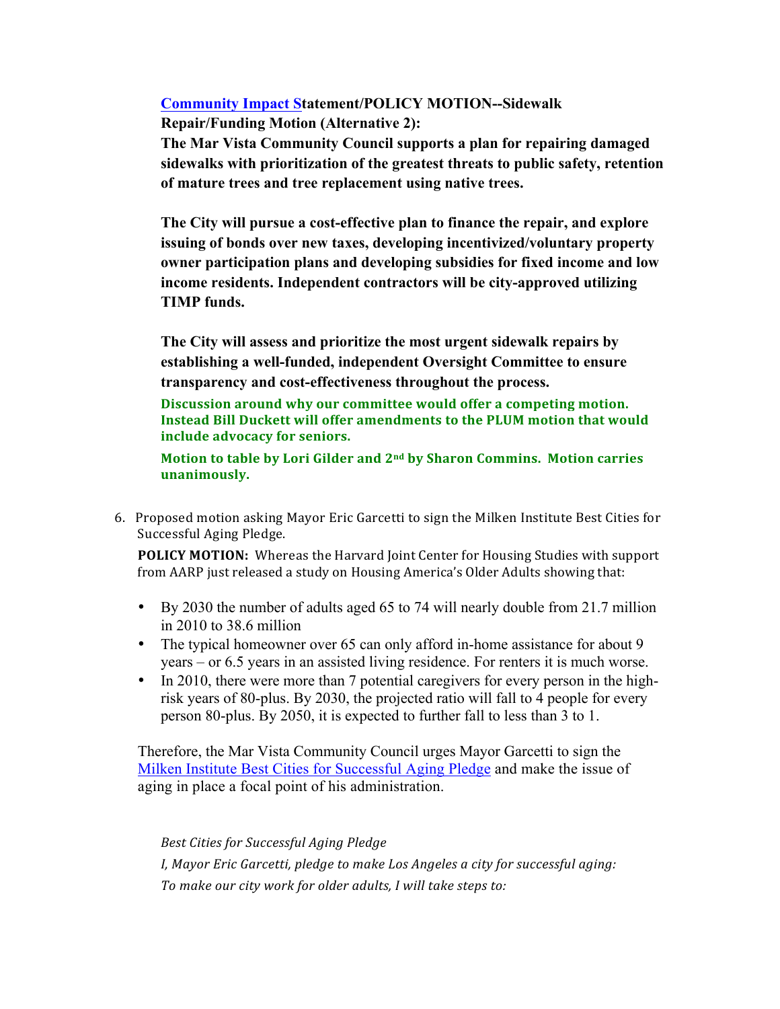**Community Impact Statement/POLICY MOTION--Sidewalk Repair/Funding Motion (Alternative 2):**

**The Mar Vista Community Council supports a plan for repairing damaged sidewalks with prioritization of the greatest threats to public safety, retention of mature trees and tree replacement using native trees.**

**The City will pursue a cost-effective plan to finance the repair, and explore issuing of bonds over new taxes, developing incentivized/voluntary property owner participation plans and developing subsidies for fixed income and low income residents. Independent contractors will be city-approved utilizing TIMP funds.**

**The City will assess and prioritize the most urgent sidewalk repairs by establishing a well-funded, independent Oversight Committee to ensure transparency and cost-effectiveness throughout the process.**

Discussion around why our committee would offer a competing motion. **Instead Bill Duckett will offer amendments to the PLUM motion that would include advocacy for seniors.**

**Motion to table by Lori Gilder and 2<sup>nd</sup> by Sharon Commins. Motion carries unanimously.**

6. Proposed motion asking Mayor Eric Garcetti to sign the Milken Institute Best Cities for Successful Aging Pledge.

**POLICY MOTION:** Whereas the Harvard Joint Center for Housing Studies with support from AARP just released a study on Housing America's Older Adults showing that:

- By 2030 the number of adults aged 65 to 74 will nearly double from 21.7 million in 2010 to 38.6 million
- The typical homeowner over 65 can only afford in-home assistance for about 9 years – or 6.5 years in an assisted living residence. For renters it is much worse.
- In 2010, there were more than 7 potential caregivers for every person in the highrisk years of 80-plus. By 2030, the projected ratio will fall to 4 people for every person 80-plus. By 2050, it is expected to further fall to less than 3 to 1.

Therefore, the Mar Vista Community Council urges Mayor Garcetti to sign the Milken Institute Best Cities for Successful Aging Pledge and make the issue of aging in place a focal point of his administration.

*Best Cities for Successful Aging Pledge I, Mayor Eric Garcetti, pledge to make Los Angeles a city for successful aging:* To make our city work for older adults, I will take steps to: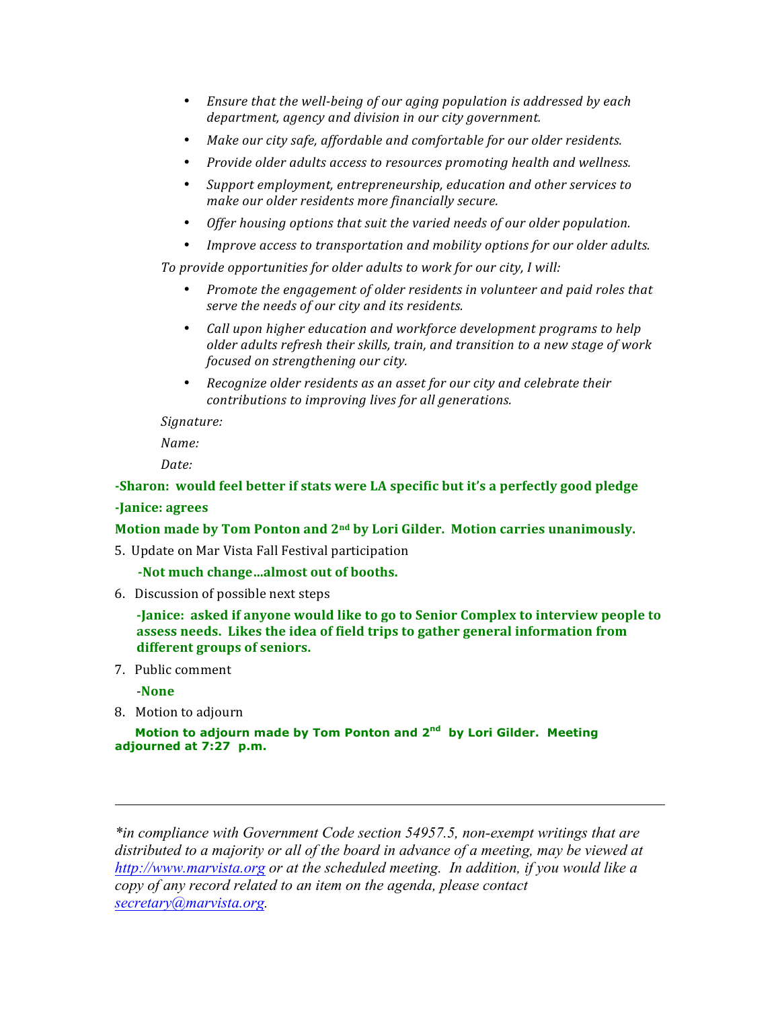- Ensure that the well-being of our aging population is addressed by each department, agency and division in our city government.
- Make our city safe, affordable and comfortable for our older residents.
- *Provide older adults access to resources promoting health and wellness.*
- Support employment, entrepreneurship, education and other services to *make our older residents more financially secure.*
- Offer housing options that suit the varied needs of our older population.
- *Improve access to transportation and mobility options for our older adults.*

To provide opportunities for older adults to work for our city, I will:

- *Promote the engagement of older residents in volunteer and paid roles that serve the needs of our city and its residents.*
- *Call upon higher education and workforce development programs to help older adults refresh their skills, train, and transition to a new stage of work focused on strengthening our city.*
- Recognize older residents as an asset for our city and celebrate their *contributions to improving lives for all generations.*

*Signature:*

*Name:*

Date:

-Sharon: would feel better if stats were LA specific but it's a perfectly good pledge **-Janice: agrees**

**Motion made by Tom Ponton and 2<sup>nd</sup> by Lori Gilder. Motion carries unanimously.** 

5. Update on Mar Vista Fall Festival participation

-Not much change...almost out of booths.

6. Discussion of possible next steps

**-Janice:** asked if anyone would like to go to Senior Complex to interview people to **assess needs.** Likes the idea of field trips to gather general information from different groups of seniors.

7. Public comment

 -**None**

8. Motion to adjourn

 **Motion to adjourn made by Tom Ponton and 2nd by Lori Gilder. Meeting adjourned at 7:27 p.m.**

*\*in compliance with Government Code section 54957.5, non-exempt writings that are distributed to a majority or all of the board in advance of a meeting, may be viewed at http://www.marvista.org or at the scheduled meeting. In addition, if you would like a copy of any record related to an item on the agenda, please contact secretary@marvista.org.*